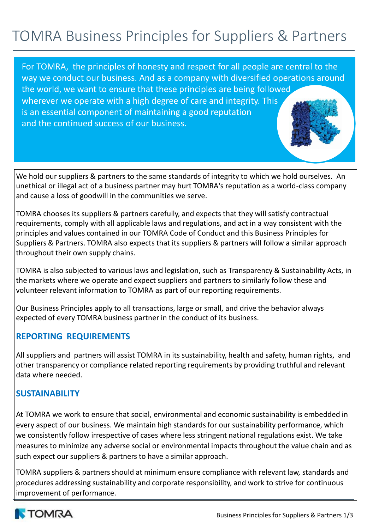# TOMRA Business Principles for Suppliers & Partners

For TOMRA, the principles of honesty and respect for all people are central to the way we conduct our business. And as a company with diversified operations around the world, we want to ensure that these principles are being followed wherever we operate with a high degree of care and integrity. This is an essential component of maintaining a good reputation and the continued success of our business.

We hold our suppliers & partners to the same standards of integrity to which we hold ourselves. An unethical or illegal act of a business partner may hurt TOMRA's reputation as a world-class company and cause a loss of goodwill in the communities we serve.

TOMRA chooses its suppliers & partners carefully, and expects that they will satisfy contractual requirements, comply with all applicable laws and regulations, and act in a way consistent with the principles and values contained in our TOMRA Code of Conduct and this Business Principles for Suppliers & Partners. TOMRA also expects that its suppliers & partners will follow a similar approach throughout their own supply chains.

TOMRA is also subjected to various laws and legislation, such as Transparency & Sustainability Acts, in the markets where we operate and expect suppliers and partners to similarly follow these and volunteer relevant information to TOMRA as part of our reporting requirements.

Our Business Principles apply to all transactions, large or small, and drive the behavior always expected of every TOMRA business partner in the conduct of its business.

## **REPORTING REQUIREMENTS**

All suppliers and partners will assist TOMRA in its sustainability, health and safety, human rights, and other transparency or compliance related reporting requirements by providing truthful and relevant data where needed.

# **SUSTAINABILITY**

At TOMRA we work to ensure that social, environmental and economic sustainability is embedded in every aspect of our business. We maintain high standards for our sustainability performance, which we consistently follow irrespective of cases where less stringent national regulations exist. We take measures to minimize any adverse social or environmental impacts throughout the value chain and as such expect our suppliers & partners to have a similar approach.

TOMRA suppliers & partners should at minimum ensure compliance with relevant law, standards and procedures addressing sustainability and corporate responsibility, and work to strive for continuous improvement of performance.

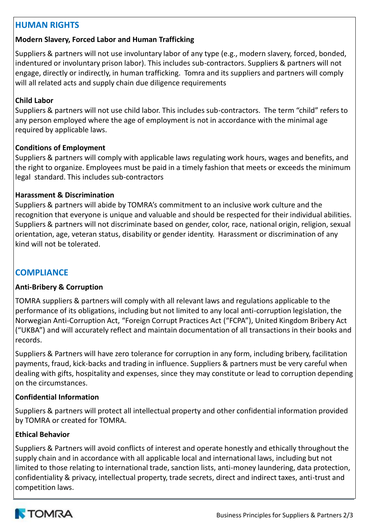# **HUMAN RIGHTS**

## **Modern Slavery, Forced Labor and Human Trafficking**

Suppliers & partners will not use involuntary labor of any type (e.g., modern slavery, forced, bonded, indentured or involuntary prison labor). This includes sub-contractors. Suppliers & partners will not engage, directly or indirectly, in human trafficking. Tomra and its suppliers and partners will comply will all related acts and supply chain due diligence requirements

## **Child Labor**

Suppliers & partners will not use child labor. This includes sub-contractors. The term "child" refers to any person employed where the age of employment is not in accordance with the minimal age required by applicable laws.

## **Conditions of Employment**

Suppliers & partners will comply with applicable laws regulating work hours, wages and benefits, and the right to organize. Employees must be paid in a timely fashion that meets or exceeds the minimum legal standard. This includes sub-contractors

### **Harassment & Discrimination**

Suppliers & partners will abide by TOMRA's commitment to an inclusive work culture and the recognition that everyone is unique and valuable and should be respected for their individual abilities. Suppliers & partners will not discriminate based on gender, color, race, national origin, religion, sexual orientation, age, veteran status, disability or gender identity. Harassment or discrimination of any kind will not be tolerated.

# **COMPLIANCE**

## **Anti-Bribery & Corruption**

TOMRA suppliers & partners will comply with all relevant laws and regulations applicable to the performance of its obligations, including but not limited to any local anti-corruption legislation, the Norwegian Anti-Corruption Act, "Foreign Corrupt Practices Act ("FCPA"), United Kingdom Bribery Act ("UKBA") and will accurately reflect and maintain documentation of all transactions in their books and records.

Suppliers & Partners will have zero tolerance for corruption in any form, including bribery, facilitation payments, fraud, kick-backs and trading in influence. Suppliers & partners must be very careful when dealing with gifts, hospitality and expenses, since they may constitute or lead to corruption depending on the circumstances.

## **Confidential Information**

Suppliers & partners will protect all intellectual property and other confidential information provided by TOMRA or created for TOMRA.

## **Ethical Behavior**

Suppliers & Partners will avoid conflicts of interest and operate honestly and ethically throughout the supply chain and in accordance with all applicable local and international laws, including but not limited to those relating to international trade, sanction lists, anti-money laundering, data protection, confidentiality & privacy, intellectual property, trade secrets, direct and indirect taxes, anti-trust and competition laws.